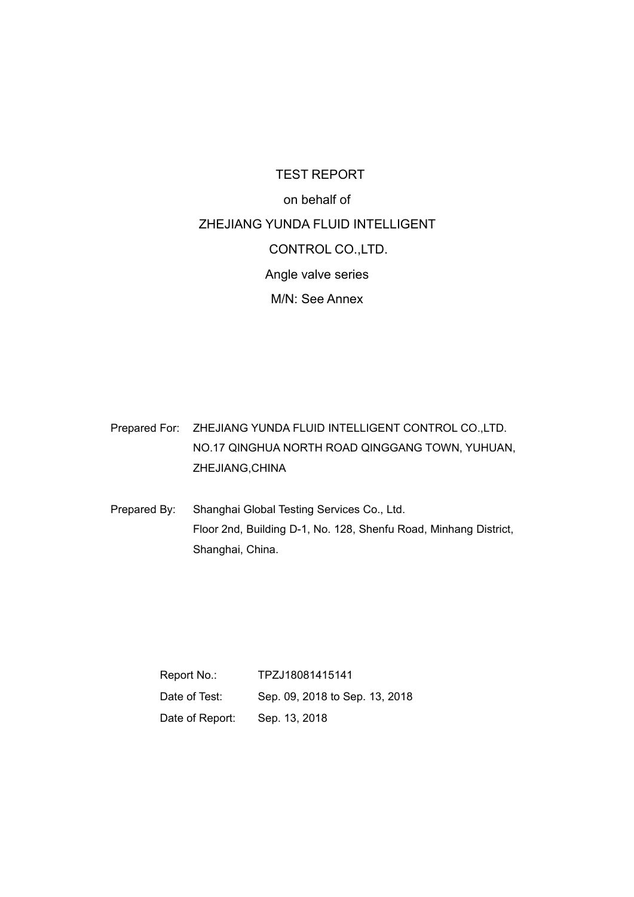## TEST REPORT on behalf of ZHEJIANG YUNDA FLUID INTELLIGENT CONTROL CO.,LTD. Angle valve series M/N: See Annex

Prepared For: ZHEJIANG YUNDA FLUID INTELLIGENT CONTROL CO.,LTD. NO.17 QINGHUA NORTH ROAD QINGGANG TOWN, YUHUAN, ZHEJIANG,CHINA

Prepared By: Shanghai Global Testing Services Co., Ltd. Floor 2nd, Building D-1, No. 128, Shenfu Road, Minhang District, Shanghai, China.

> Report No.: TPZJ18081415141 Date of Test: Sep. 09, 2018 to Sep. 13, 2018 Date of Report: Sep. 13, 2018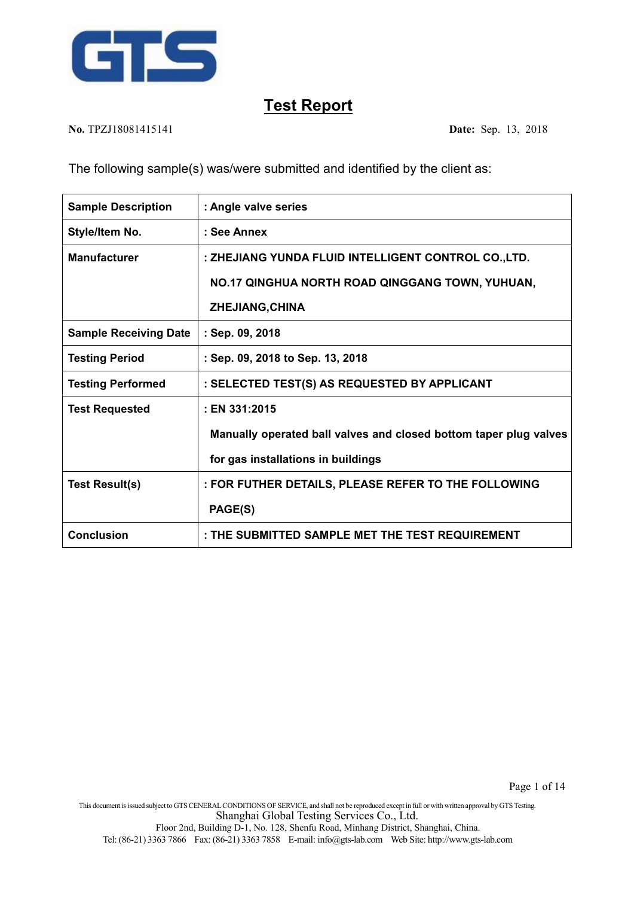

**No.** TPZJ18081415141 **Date:** Sep. 13, 2018

The following sample(s) was/were submitted and identified by the client as:

| <b>Sample Description</b>    | : Angle valve series                                              |
|------------------------------|-------------------------------------------------------------------|
| Style/Item No.               | : See Annex                                                       |
| <b>Manufacturer</b>          | : ZHEJIANG YUNDA FLUID INTELLIGENT CONTROL CO., LTD.              |
|                              | NO.17 QINGHUA NORTH ROAD QINGGANG TOWN, YUHUAN,                   |
|                              | ZHEJIANG, CHINA                                                   |
| <b>Sample Receiving Date</b> | : Sep. 09, 2018                                                   |
| <b>Testing Period</b>        | : Sep. 09, 2018 to Sep. 13, 2018                                  |
| <b>Testing Performed</b>     | : SELECTED TEST(S) AS REQUESTED BY APPLICANT                      |
| <b>Test Requested</b>        | : EN 331:2015                                                     |
|                              | Manually operated ball valves and closed bottom taper plug valves |
|                              | for gas installations in buildings                                |
| <b>Test Result(s)</b>        | : FOR FUTHER DETAILS, PLEASE REFER TO THE FOLLOWING               |
|                              | PAGE(S)                                                           |
| <b>Conclusion</b>            | : THE SUBMITTED SAMPLE MET THE TEST REQUIREMENT                   |

This document isissued subject to GTSCENERALCONDITIONS OF SERVICE, and shall not be reproduced except in full or with written approval by GTSTesting. Shanghai Global Testing Services Co., Ltd.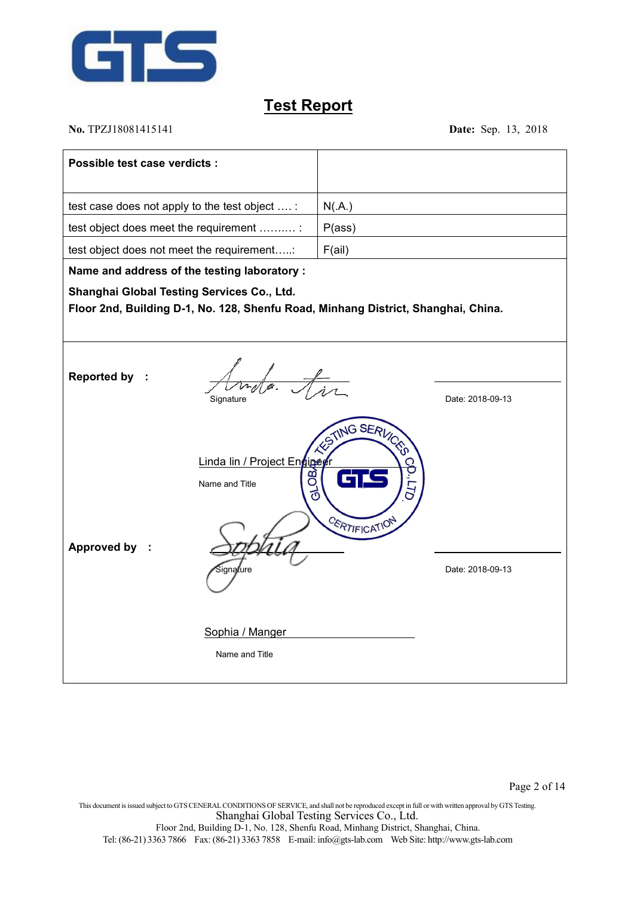

**No.** TPZJ18081415141 **Date:** Sep. 13, 2018

| Possible test case verdicts :                                                                                                   |                                                                |
|---------------------------------------------------------------------------------------------------------------------------------|----------------------------------------------------------------|
| test case does not apply to the test object  :                                                                                  | N(A)                                                           |
| test object does meet the requirement :                                                                                         | P(ass)                                                         |
| test object does not meet the requirement:                                                                                      | F(ai)                                                          |
| Name and address of the testing laboratory :                                                                                    |                                                                |
| Shanghai Global Testing Services Co., Ltd.<br>Floor 2nd, Building D-1, No. 128, Shenfu Road, Minhang District, Shanghai, China. |                                                                |
| <b>Reported by</b><br>Signature                                                                                                 | Date: 2018-09-13                                               |
| Linda lin / Project Ennigeer<br>පි<br>Name and Title<br><b>Approved by</b><br>òiqna∦ure                                         | TING SERVICED<br>ಕ<br><b>CERTIFICATION</b><br>Date: 2018-09-13 |
| Sophia / Manger<br>Name and Title                                                                                               |                                                                |

This document isissued subject to GTSCENERALCONDITIONS OF SERVICE, and shall not be reproduced except in full or with written approval by GTSTesting. Shanghai Global Testing Services Co., Ltd. Floor 2nd, Building D-1, No. 128, Shenfu Road, Minhang District, Shanghai, China. Tel: (86-21) 3363 7866 Fax: (86-21) 3363 7858 E-mail: [info@gts-lab.com](mailto:info@gts-lab.com) Web Site: http://www.gts-lab.com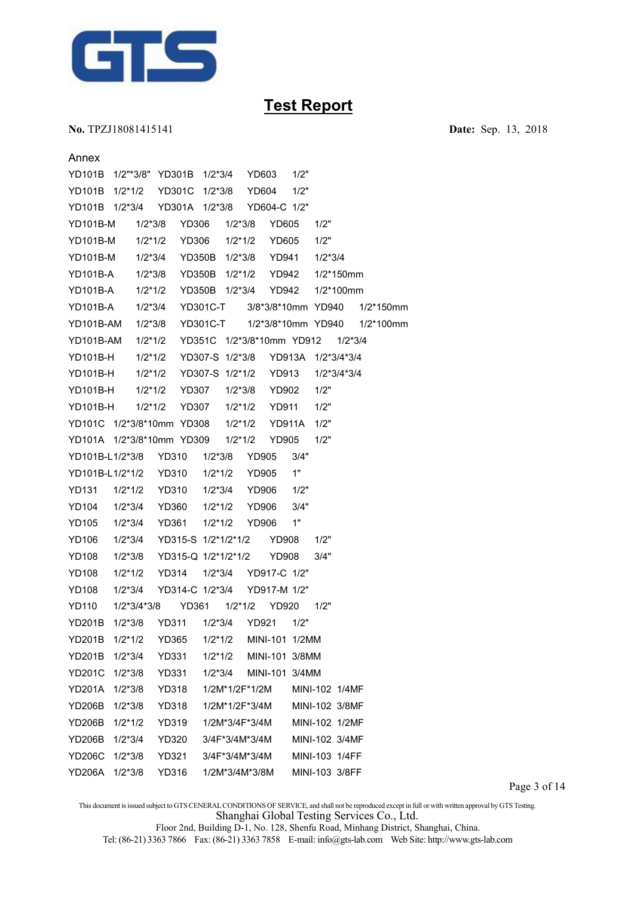

**No.** TPZJ18081415141 **Date:** Sep. 13, 2018

| Annex           |                  |                           |                     |                           |        |                |              |  |  |
|-----------------|------------------|---------------------------|---------------------|---------------------------|--------|----------------|--------------|--|--|
| <b>YD101B</b>   | 1/2"*3/8" YD301B |                           | $1/2*3/4$           | YD603                     | 1/2"   |                |              |  |  |
| <b>YD101B</b>   | $1/2*1/2$        | <b>YD301C</b>             | $1/2*3/8$           | <b>YD604</b>              | 1/2"   |                |              |  |  |
| YD101B 1/2*3/4  |                  | YD301A 1/2*3/8            |                     | YD604-C 1/2"              |        |                |              |  |  |
| <b>YD101B-M</b> | $1/2*3/8$        | <b>YD306</b>              | $1/2*3/8$           | <b>YD605</b>              |        | 1/2"           |              |  |  |
| <b>YD101B-M</b> | $1/2*1/2$        | <b>YD306</b>              | $1/2*1/2$           | <b>YD605</b>              |        | 1/2"           |              |  |  |
| <b>YD101B-M</b> | $1/2*3/4$        | <b>YD350B</b>             | $1/2*3/8$           | <b>YD941</b>              |        | $1/2*3/4$      |              |  |  |
| <b>YD101B-A</b> | $1/2*3/8$        | <b>YD350B</b>             | $1/2*1/2$           | <b>YD942</b>              |        | $1/2*150$ mm   |              |  |  |
| <b>YD101B-A</b> | $1/2*1/2$        |                           | YD350B 1/2*3/4      | <b>YD942</b>              |        | $1/2*100$ mm   |              |  |  |
| <b>YD101B-A</b> | $1/2*3/4$        |                           | <b>YD301C-T</b>     | 3/8*3/8*10mm YD940        |        |                | $1/2*150$ mm |  |  |
| YD101B-AM       | $1/2*3/8$        |                           | <b>YD301C-T</b>     | 1/2*3/8*10mm YD940        |        |                | $1/2*100$ mm |  |  |
| YD101B-AM       | $1/2*1/2$        |                           |                     | YD351C 1/2*3/8*10mm YD912 |        | $1/2*3/4$      |              |  |  |
| <b>YD101B-H</b> | $1/2*1/2$        |                           | YD307-S 1/2*3/8     |                           | YD913A | 1/2*3/4*3/4    |              |  |  |
| <b>YD101B-H</b> | $1/2*1/2$        |                           | YD307-S 1/2*1/2     | <b>YD913</b>              |        | $1/2*3/4*3/4$  |              |  |  |
| YD101B-H        | $1/2*1/2$        | <b>YD307</b>              | $1/2*3/8$           | <b>YD902</b>              |        | 1/2"           |              |  |  |
| <b>YD101B-H</b> | $1/2*1/2$        | <b>YD307</b>              | $1/2*1/2$           | <b>YD911</b>              |        | 1/2"           |              |  |  |
|                 |                  | YD101C 1/2*3/8*10mm YD308 | $1/2*1/2$           | <b>YD911A</b>             |        | 1/2"           |              |  |  |
|                 |                  | YD101A 1/2*3/8*10mm YD309 | $1/2*1/2$           | <b>YD905</b>              |        | 1/2"           |              |  |  |
| YD101B-L1/2*3/8 |                  | YD310                     | $1/2*3/8$           | <b>YD905</b>              | 3/4"   |                |              |  |  |
| YD101B-L1/2*1/2 |                  | <b>YD310</b>              | $1/2*1/2$           | <b>YD905</b>              | 1"     |                |              |  |  |
| <b>YD131</b>    | $1/2*1/2$        | YD310                     | $1/2*3/4$           | YD906                     | 1/2"   |                |              |  |  |
| <b>YD104</b>    | $1/2*3/4$        | YD360                     | $1/2*1/2$           | <b>YD906</b>              | 3/4"   |                |              |  |  |
| <b>YD105</b>    | $1/2*3/4$        | YD361                     | $1/2*1/2$           | <b>YD906</b>              | 1"     |                |              |  |  |
| YD106           | $1/2*3/4$        |                           | YD315-S 1/2*1/2*1/2 | <b>YD908</b>              |        | 1/2"           |              |  |  |
| <b>YD108</b>    | $1/2*3/8$        |                           | YD315-Q 1/2*1/2*1/2 | <b>YD908</b>              |        | 3/4"           |              |  |  |
| <b>YD108</b>    | $1/2*1/2$        | <b>YD314</b>              | $1/2*3/4$           | YD917-C 1/2"              |        |                |              |  |  |
| <b>YD108</b>    | $1/2*3/4$        | YD314-C 1/2*3/4           |                     | YD917-M 1/2"              |        |                |              |  |  |
| <b>YD110</b>    | $1/2*3/4*3/8$    | <b>YD361</b>              | $1/2*1/2$           | <b>YD920</b>              |        | 1/2"           |              |  |  |
| <b>YD201B</b>   | $1/2*3/8$        | <b>YD311</b>              | $1/2*3/4$           | <b>YD921</b>              | 1/2"   |                |              |  |  |
| YD201B 1/2*1/2  |                  | YD365                     | $1/2*1/2$           | MINI-101 1/2MM            |        |                |              |  |  |
| <b>YD201B</b>   | $1/2*3/4$        | YD331                     | $1/2*1/2$           | MINI-101 3/8MM            |        |                |              |  |  |
| <b>YD201C</b>   | $1/2*3/8$        | <b>YD331</b>              | $1/2*3/4$           | MINI-101 3/4MM            |        |                |              |  |  |
| YD201A 1/2*3/8  |                  | YD318                     | 1/2M*1/2F*1/2M      |                           |        | MINI-102 1/4MF |              |  |  |
| <b>YD206B</b>   | $1/2*3/8$        | <b>YD318</b>              | 1/2M*1/2F*3/4M      |                           |        | MINI-102 3/8MF |              |  |  |
| <b>YD206B</b>   | $1/2*1/2$        | YD319                     | 1/2M*3/4F*3/4M      |                           |        | MINI-102 1/2MF |              |  |  |
| <b>YD206B</b>   | $1/2*3/4$        | YD320                     | 3/4F*3/4M*3/4M      |                           |        | MINI-102 3/4MF |              |  |  |
| <b>YD206C</b>   | 1/2*3/8          | YD321                     | 3/4F*3/4M*3/4M      |                           |        | MINI-103 1/4FF |              |  |  |
| YD206A          | $1/2*3/8$        | YD316                     | 1/2M*3/4M*3/8M      |                           |        | MINI-103 3/8FF |              |  |  |

Page 3 of 14

This document isissued subject to GTSCENERALCONDITIONS OF SERVICE, and shall not be reproduced except in full or with written approval by GTSTesting. Shanghai Global Testing Services Co., Ltd.

Floor 2nd, Building D-1, No. 128, Shenfu Road, Minhang District, Shanghai, China.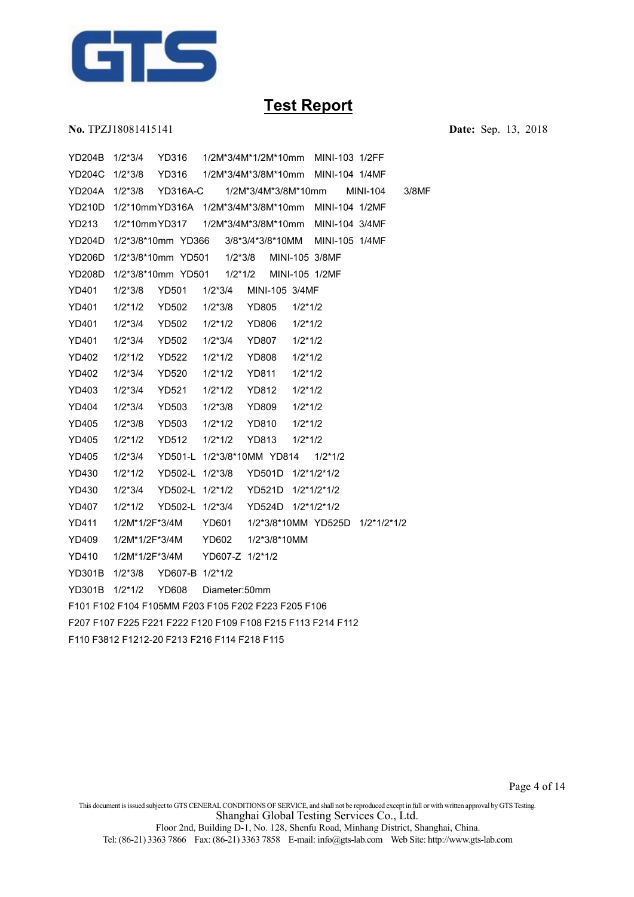

**No.** TPZJ18081415141 **Date:** Sep. 13, 2018

YD204B 1/2\*3/4 YD316 1/2M\*3/4M\*1/2M\*10mm MINI-103 1/2FF YD204C 1/2\*3/8 YD316 1/2M\*3/4M\*3/8M\*10mm MINI-104 1/4MF YD204A 1/2\*3/8 YD316A-C 1/2M\*3/4M\*3/8M\*10mm MINI-104 3/8MF YD210D 1/2\*10mmYD316A 1/2M\*3/4M\*3/8M\*10mm MINI-104 1/2MF YD213 1/2\*10mmYD317 1/2M\*3/4M\*3/8M\*10mm MINI-104 3/4MF YD204D 1/2\*3/8\*10mm YD366 3/8\*3/4\*3/8\*10MM MINI-1051/4MF YD206D 1/2\*3/8\*10mm YD501 1/2\*3/8 MINI-105 3/8MF YD208D 1/2\*3/8\*10mm YD501 1/2\*1/2 MINI-105 1/2MF YD401 1/2\*3/8 YD501 1/2\*3/4 MINI-105 3/4MF YD401 1/2\*1/2 YD502 1/2\*3/8 YD805 1/2\*1/2 YD401 1/2\*3/4 YD502 1/2\*1/2 YD806 1/2\*1/2 YD401 1/2\*3/4 YD502 1/2\*3/4 YD807 1/2\*1/2 YD402 1/2\*1/2 YD522 1/2\*1/2 YD808 1/2\*1/2 YD402 1/2\*3/4 YD520 1/2\*1/2 YD811 1/2\*1/2 YD403 1/2\*3/4 YD521 1/2\*1/2 YD812 1/2\*1/2 YD404 1/2\*3/4 YD503 1/2\*3/8 YD809 1/2\*1/2 YD405 1/2\*3/8 YD503 1/2\*1/2 YD810 1/2\*1/2 YD405 1/2\*1/2 YD512 1/2\*1/2 YD813 1/2\*1/2 YD405 1/2\*3/4 YD501-L 1/2\*3/8\*10MM YD814 1/2\*1/2 YD430 1/2\*1/2 YD502-L 1/2\*3/8 YD501D 1/2\*1/2\*1/2 YD430 1/2\*3/4 YD502-L 1/2\*1/2 YD521D 1/2\*1/2\*1/2 YD407 1/2\*1/2 YD502-L 1/2\*3/4 YD524D 1/2\*1/2\*1/2 YD411 1/2M\*1/2F\*3/4M YD601 1/2\*3/8\*10MM YD525D 1/2\*1/2\*1/2 YD409 1/2M\*1/2F\*3/4M YD602 1/2\*3/8\*10MM YD410 1/2M\*1/2F\*3/4M YD607-Z 1/2\*1/2 YD301B 1/2\*3/8 YD607-B 1/2\*1/2 YD301B 1/2\*1/2 YD608 Diameter:50mm F101 F102 F104 F105MM F203 F105 F202 F223 F205 F106 F207 F107 F225 F221 F222 F120 F109 F108 F215 F113 F214 F112 F110 F3812 F1212-20 F213 F216 F114 F218 F115

This document is issued subject to GTS CENERAL CONDITIONS OF SERVICE, and shall not be reproduced except in full or with written approval by GTS Testing. Shanghai Global Testing Services Co., Ltd.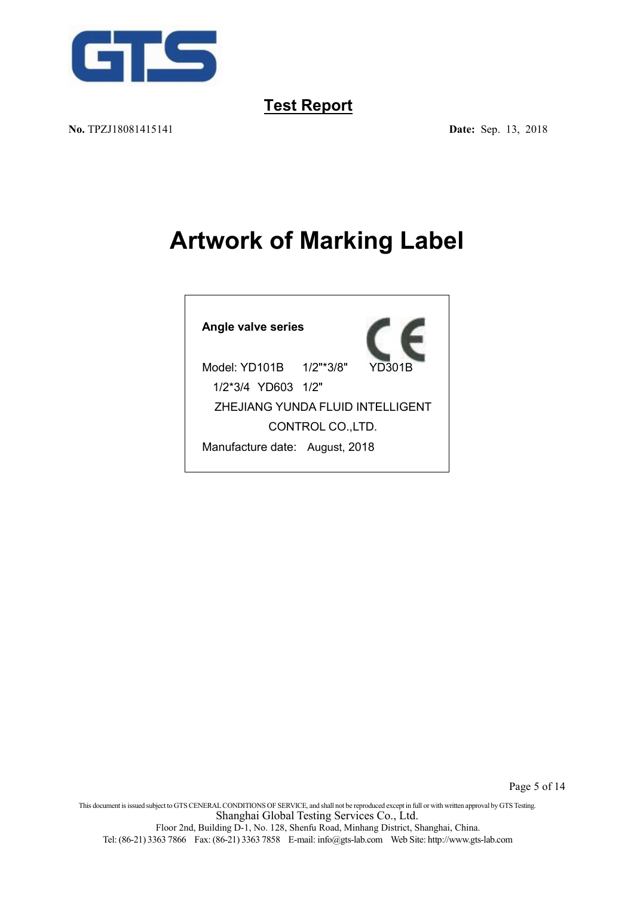

**No.** TPZJ18081415141 **Date:** Sep. 13, 2018

# **Artwork of Marking Label**

**Angle valve series**



Model: YD101B 1/2"\*3/8" 1/2\*3/4 YD603 1/2" ZHEJIANG YUNDA FLUID INTELLIGENT CONTROL CO.,LTD. Manufacture date: August, 2018

This document isissued subject to GTSCENERALCONDITIONS OF SERVICE, and shall not be reproduced except in full or with written approval by GTSTesting. Shanghai Global Testing Services Co., Ltd. Floor 2nd, Building D-1, No. 128, Shenfu Road, Minhang District, Shanghai, China.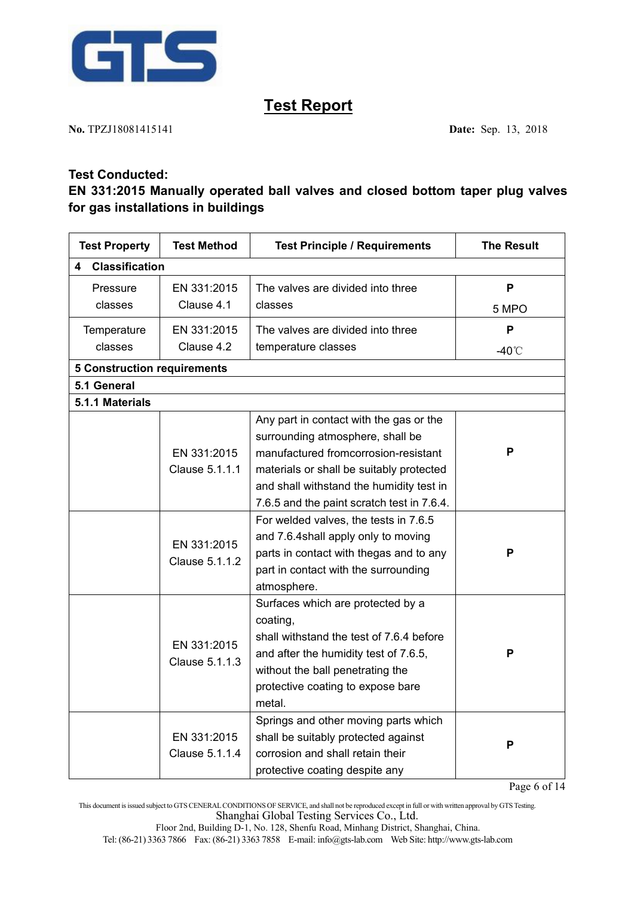

**No.** TPZJ18081415141 **Date:** Sep. 13, 2018

#### **Test Conducted:**

### **EN 331:2015 Manually operated ball valves and closed bottom taper plug valves for gas installations in buildings**

| <b>Test Property</b>               | <b>Test Method</b>            | <b>Test Principle / Requirements</b>                                                                                                                                                                                  | <b>The Result</b> |
|------------------------------------|-------------------------------|-----------------------------------------------------------------------------------------------------------------------------------------------------------------------------------------------------------------------|-------------------|
| <b>Classification</b><br>4         |                               |                                                                                                                                                                                                                       |                   |
| Pressure                           | EN 331:2015                   | The valves are divided into three                                                                                                                                                                                     | P                 |
| classes                            | Clause 4.1                    | classes                                                                                                                                                                                                               | 5 MPO             |
| Temperature                        | EN 331:2015                   | The valves are divided into three                                                                                                                                                                                     | P                 |
| classes                            | Clause 4.2                    | temperature classes                                                                                                                                                                                                   | -40 $^{\circ}$ C  |
| <b>5 Construction requirements</b> |                               |                                                                                                                                                                                                                       |                   |
| 5.1 General                        |                               |                                                                                                                                                                                                                       |                   |
| 5.1.1 Materials                    |                               |                                                                                                                                                                                                                       |                   |
|                                    | EN 331:2015                   | Any part in contact with the gas or the<br>surrounding atmosphere, shall be<br>manufactured fromcorrosion-resistant                                                                                                   | P                 |
|                                    | Clause 5.1.1.1                | materials or shall be suitably protected<br>and shall withstand the humidity test in<br>7.6.5 and the paint scratch test in 7.6.4.                                                                                    |                   |
|                                    | EN 331:2015<br>Clause 5.1.1.2 | For welded valves, the tests in 7.6.5<br>and 7.6.4shall apply only to moving<br>parts in contact with thegas and to any<br>part in contact with the surrounding<br>atmosphere.                                        | P                 |
|                                    | EN 331:2015<br>Clause 5.1.1.3 | Surfaces which are protected by a<br>coating,<br>shall withstand the test of 7.6.4 before<br>and after the humidity test of 7.6.5,<br>without the ball penetrating the<br>protective coating to expose bare<br>metal. | P                 |
|                                    | EN 331:2015<br>Clause 5.1.1.4 | Springs and other moving parts which<br>shall be suitably protected against<br>corrosion and shall retain their<br>protective coating despite any                                                                     | P                 |

Page 6 of 14

This document isissued subject to GTSCENERALCONDITIONS OF SERVICE, and shall not be reproduced except in full or with written approval by GTSTesting. Shanghai Global Testing Services Co., Ltd.

Floor 2nd, Building D-1, No. 128, Shenfu Road, Minhang District, Shanghai, China.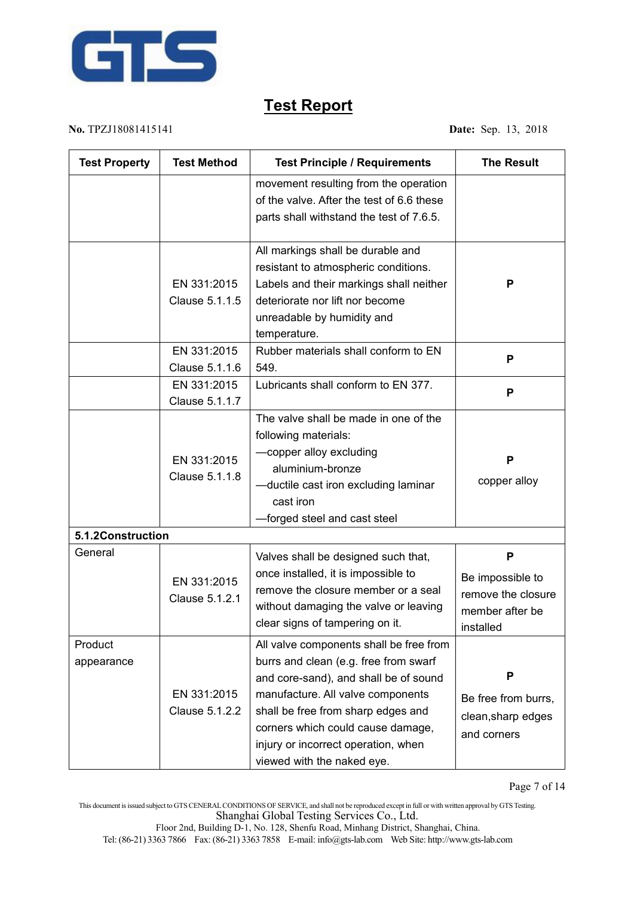

**No.** TPZJ18081415141 **Date:** Sep. 13, 2018

| <b>Test Property</b>  | <b>Test Method</b>            | <b>Test Principle / Requirements</b>                                                                                                                                                                                                                                                                           | <b>The Result</b>                                                           |
|-----------------------|-------------------------------|----------------------------------------------------------------------------------------------------------------------------------------------------------------------------------------------------------------------------------------------------------------------------------------------------------------|-----------------------------------------------------------------------------|
|                       |                               | movement resulting from the operation<br>of the valve. After the test of 6.6 these<br>parts shall withstand the test of 7.6.5.                                                                                                                                                                                 |                                                                             |
|                       | EN 331:2015<br>Clause 5.1.1.5 | All markings shall be durable and<br>resistant to atmospheric conditions.<br>Labels and their markings shall neither<br>deteriorate nor lift nor become<br>unreadable by humidity and<br>temperature.                                                                                                          | P                                                                           |
|                       | EN 331:2015<br>Clause 5.1.1.6 | Rubber materials shall conform to EN<br>549.                                                                                                                                                                                                                                                                   | P                                                                           |
|                       | EN 331:2015<br>Clause 5.1.1.7 | Lubricants shall conform to EN 377.                                                                                                                                                                                                                                                                            | P                                                                           |
|                       | EN 331:2015<br>Clause 5.1.1.8 | The valve shall be made in one of the<br>following materials:<br>-copper alloy excluding<br>aluminium-bronze<br>-ductile cast iron excluding laminar<br>cast iron<br>-forged steel and cast steel                                                                                                              | P<br>copper alloy                                                           |
| 5.1.2Construction     |                               |                                                                                                                                                                                                                                                                                                                |                                                                             |
| General               | EN 331:2015<br>Clause 5.1.2.1 | Valves shall be designed such that,<br>once installed, it is impossible to<br>remove the closure member or a seal<br>without damaging the valve or leaving<br>clear signs of tampering on it.                                                                                                                  | P<br>Be impossible to<br>remove the closure<br>member after be<br>installed |
| Product<br>appearance | EN 331:2015<br>Clause 5.1.2.2 | All valve components shall be free from<br>burrs and clean (e.g. free from swarf<br>and core-sand), and shall be of sound<br>manufacture. All valve components<br>shall be free from sharp edges and<br>corners which could cause damage,<br>injury or incorrect operation, when<br>viewed with the naked eye. | P<br>Be free from burrs,<br>clean, sharp edges<br>and corners               |

This document isissued subject to GTSCENERALCONDITIONS OF SERVICE, and shall not be reproduced except in full or with written approval by GTSTesting. Shanghai Global Testing Services Co., Ltd.

Floor 2nd, Building D-1, No. 128, Shenfu Road, Minhang District, Shanghai, China.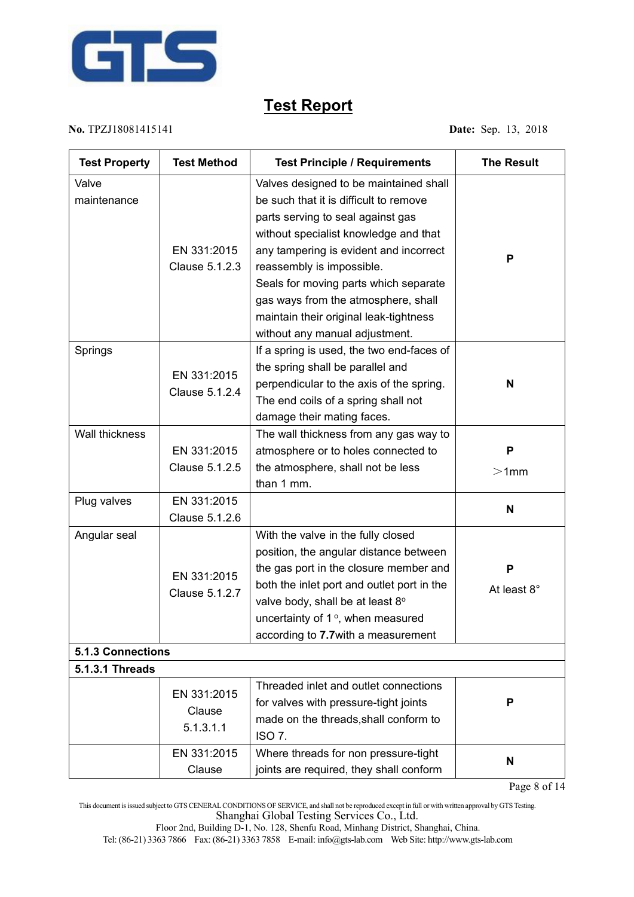

**No.** TPZJ18081415141 **Date:** Sep. 13, 2018

| <b>Test Property</b>     | <b>Test Method</b> | <b>Test Principle / Requirements</b>       | <b>The Result</b> |
|--------------------------|--------------------|--------------------------------------------|-------------------|
| Valve                    |                    | Valves designed to be maintained shall     |                   |
| maintenance              |                    | be such that it is difficult to remove     |                   |
|                          |                    | parts serving to seal against gas          |                   |
|                          |                    | without specialist knowledge and that      |                   |
|                          | EN 331:2015        | any tampering is evident and incorrect     |                   |
|                          | Clause 5.1.2.3     | reassembly is impossible.                  | P                 |
|                          |                    | Seals for moving parts which separate      |                   |
|                          |                    | gas ways from the atmosphere, shall        |                   |
|                          |                    | maintain their original leak-tightness     |                   |
|                          |                    | without any manual adjustment.             |                   |
| Springs                  |                    | If a spring is used, the two end-faces of  |                   |
|                          |                    | the spring shall be parallel and           |                   |
|                          | EN 331:2015        | perpendicular to the axis of the spring.   | N                 |
|                          | Clause 5.1.2.4     | The end coils of a spring shall not        |                   |
|                          |                    | damage their mating faces.                 |                   |
| Wall thickness           |                    | The wall thickness from any gas way to     |                   |
|                          | EN 331:2015        | atmosphere or to holes connected to        | P                 |
|                          | Clause 5.1.2.5     | the atmosphere, shall not be less          | $>1$ mm           |
|                          |                    | than 1 mm.                                 |                   |
| Plug valves              | EN 331:2015        |                                            |                   |
|                          | Clause 5.1.2.6     |                                            | N                 |
| Angular seal             |                    | With the valve in the fully closed         |                   |
|                          |                    | position, the angular distance between     |                   |
|                          |                    | the gas port in the closure member and     | P                 |
|                          | EN 331:2015        | both the inlet port and outlet port in the | At least 8°       |
|                          | Clause 5.1.2.7     | valve body, shall be at least 8°           |                   |
|                          |                    | uncertainty of 1°, when measured           |                   |
|                          |                    | according to 7.7 with a measurement        |                   |
| <b>5.1.3 Connections</b> |                    |                                            |                   |
| <b>5.1.3.1 Threads</b>   |                    |                                            |                   |
|                          |                    | Threaded inlet and outlet connections      |                   |
|                          | EN 331:2015        | for valves with pressure-tight joints      | P                 |
|                          | Clause             | made on the threads, shall conform to      |                   |
|                          | 5.1.3.1.1          | <b>ISO 7.</b>                              |                   |
|                          | EN 331:2015        | Where threads for non pressure-tight       |                   |
|                          | Clause             | joints are required, they shall conform    | N                 |

Page 8 of 14

This document isissued subject to GTSCENERALCONDITIONS OF SERVICE, and shall not be reproduced except in full or with written approval by GTSTesting. Shanghai Global Testing Services Co., Ltd.

Floor 2nd, Building D-1, No. 128, Shenfu Road, Minhang District, Shanghai, China.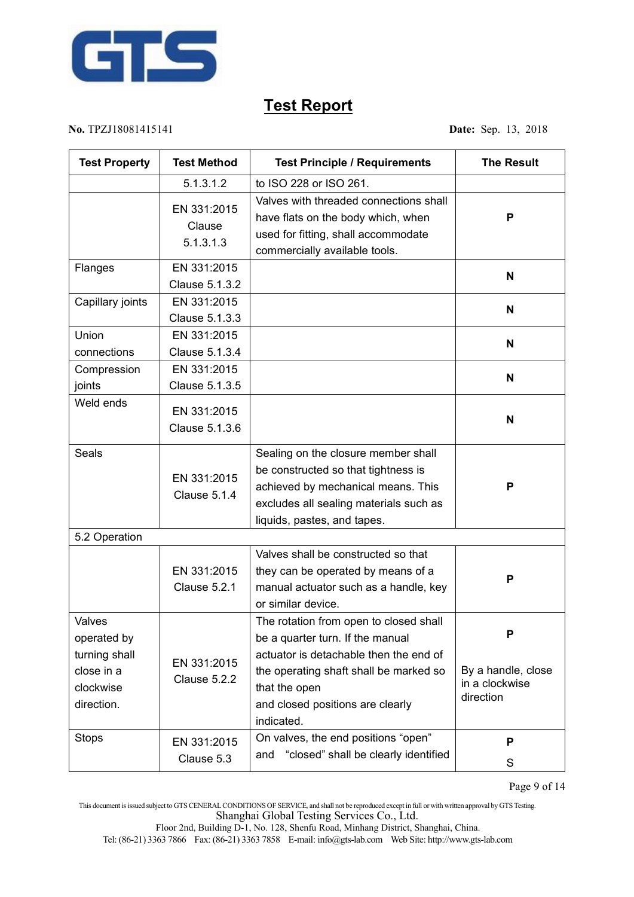

#### **No.** TPZJ18081415141 **Date:** Sep. 13, 2018

| <b>Test Property</b>                                                            | <b>Test Method</b>                 | <b>Test Principle / Requirements</b>                                                                                                                                                                                              | <b>The Result</b>                                      |
|---------------------------------------------------------------------------------|------------------------------------|-----------------------------------------------------------------------------------------------------------------------------------------------------------------------------------------------------------------------------------|--------------------------------------------------------|
|                                                                                 | 5.1.3.1.2                          | to ISO 228 or ISO 261.                                                                                                                                                                                                            |                                                        |
|                                                                                 | EN 331:2015<br>Clause<br>5.1.3.1.3 | Valves with threaded connections shall<br>have flats on the body which, when<br>used for fitting, shall accommodate<br>commercially available tools.                                                                              | P                                                      |
| Flanges                                                                         | EN 331:2015<br>Clause 5.1.3.2      |                                                                                                                                                                                                                                   | N                                                      |
| Capillary joints                                                                | EN 331:2015<br>Clause 5.1.3.3      |                                                                                                                                                                                                                                   | N                                                      |
| Union<br>connections                                                            | EN 331:2015<br>Clause 5.1.3.4      |                                                                                                                                                                                                                                   | N                                                      |
| Compression<br>joints                                                           | EN 331:2015<br>Clause 5.1.3.5      |                                                                                                                                                                                                                                   | N                                                      |
| Weld ends                                                                       | EN 331:2015<br>Clause 5.1.3.6      |                                                                                                                                                                                                                                   | $\mathbf N$                                            |
| Seals                                                                           | EN 331:2015<br>Clause 5.1.4        | Sealing on the closure member shall<br>be constructed so that tightness is<br>achieved by mechanical means. This<br>excludes all sealing materials such as<br>liquids, pastes, and tapes.                                         | P                                                      |
| 5.2 Operation                                                                   |                                    |                                                                                                                                                                                                                                   |                                                        |
|                                                                                 | EN 331:2015<br>Clause 5.2.1        | Valves shall be constructed so that<br>they can be operated by means of a<br>manual actuator such as a handle, key<br>or similar device.                                                                                          | P                                                      |
| Valves<br>operated by<br>turning shall<br>close in a<br>clockwise<br>direction. | EN 331:2015<br>Clause 5.2.2        | The rotation from open to closed shall<br>be a quarter turn. If the manual<br>actuator is detachable then the end of<br>the operating shaft shall be marked so<br>that the open<br>and closed positions are clearly<br>indicated. | P<br>By a handle, close<br>in a clockwise<br>direction |
| <b>Stops</b>                                                                    | EN 331:2015<br>Clause 5.3          | On valves, the end positions "open"<br>"closed" shall be clearly identified<br>and                                                                                                                                                | P<br>S                                                 |

Page 9 of 14

This document isissued subject to GTSCENERALCONDITIONS OF SERVICE, and shall not be reproduced except in full or with written approval by GTSTesting. Shanghai Global Testing Services Co., Ltd.

Floor 2nd, Building D-1, No. 128, Shenfu Road, Minhang District, Shanghai, China.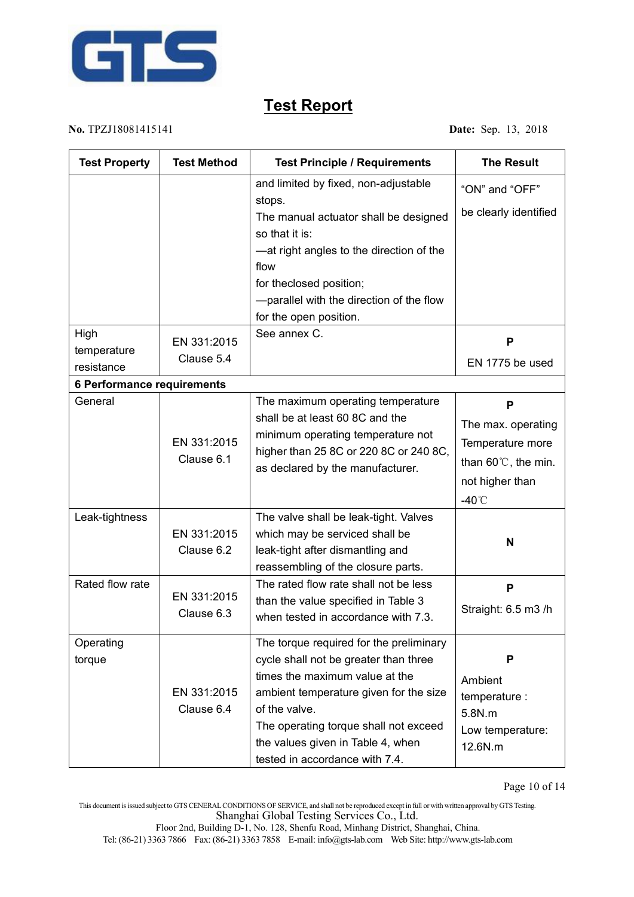

#### **No.** TPZJ18081415141 **Date:** Sep. 13, 2018

| <b>Test Property</b>              | <b>Test Method</b>        | <b>Test Principle / Requirements</b>                                                                                                                                                                                                                                                          | <b>The Result</b>                                                                                                   |
|-----------------------------------|---------------------------|-----------------------------------------------------------------------------------------------------------------------------------------------------------------------------------------------------------------------------------------------------------------------------------------------|---------------------------------------------------------------------------------------------------------------------|
| High                              |                           | and limited by fixed, non-adjustable<br>stops.<br>The manual actuator shall be designed<br>so that it is:<br>-at right angles to the direction of the<br>flow<br>for theclosed position;<br>-parallel with the direction of the flow<br>for the open position.<br>See annex C.                | "ON" and "OFF"<br>be clearly identified                                                                             |
| temperature<br>resistance         | EN 331:2015<br>Clause 5.4 |                                                                                                                                                                                                                                                                                               | P<br>EN 1775 be used                                                                                                |
| <b>6 Performance requirements</b> |                           |                                                                                                                                                                                                                                                                                               |                                                                                                                     |
| General                           | EN 331:2015<br>Clause 6.1 | The maximum operating temperature<br>shall be at least 60 8C and the<br>minimum operating temperature not<br>higher than 25 8C or 220 8C or 240 8C,<br>as declared by the manufacturer.                                                                                                       | P<br>The max. operating<br>Temperature more<br>than 60 $\degree$ C, the min.<br>not higher than<br>-40 $^{\circ}$ C |
| Leak-tightness                    | EN 331:2015<br>Clause 6.2 | The valve shall be leak-tight. Valves<br>which may be serviced shall be<br>leak-tight after dismantling and<br>reassembling of the closure parts.                                                                                                                                             | N                                                                                                                   |
| Rated flow rate                   | EN 331:2015<br>Clause 6.3 | The rated flow rate shall not be less<br>than the value specified in Table 3<br>when tested in accordance with 7.3.                                                                                                                                                                           | P<br>Straight: 6.5 m3 /h                                                                                            |
| Operating<br>torque               | EN 331:2015<br>Clause 6.4 | The torque required for the preliminary<br>cycle shall not be greater than three<br>times the maximum value at the<br>ambient temperature given for the size<br>of the valve.<br>The operating torque shall not exceed<br>the values given in Table 4, when<br>tested in accordance with 7.4. | P<br>Ambient<br>temperature :<br>5.8N.m<br>Low temperature:<br>12.6N.m                                              |

This document isissued subject to GTSCENERALCONDITIONS OF SERVICE, and shall not be reproduced except in full or with written approval by GTSTesting. Shanghai Global Testing Services Co., Ltd.

Floor 2nd, Building D-1, No. 128, Shenfu Road, Minhang District, Shanghai, China.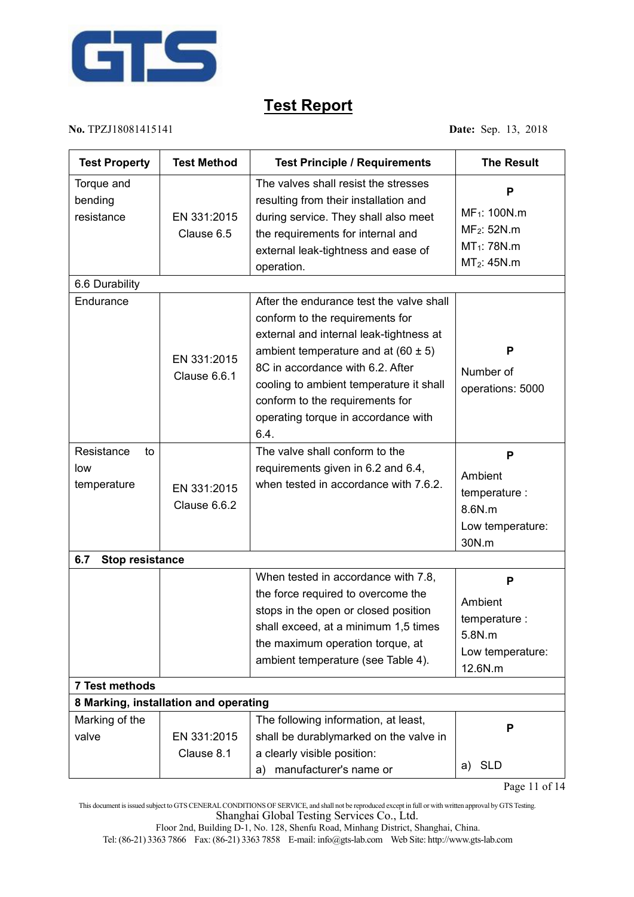

**No.** TPZJ18081415141 **Date:** Sep. 13, 2018

| <b>Test Property</b>                   | <b>Test Method</b>                    | <b>Test Principle / Requirements</b>                                                                                                                                                                                                                                                                                               | <b>The Result</b>                                                                           |
|----------------------------------------|---------------------------------------|------------------------------------------------------------------------------------------------------------------------------------------------------------------------------------------------------------------------------------------------------------------------------------------------------------------------------------|---------------------------------------------------------------------------------------------|
| Torque and<br>bending<br>resistance    | EN 331:2015<br>Clause 6.5             | The valves shall resist the stresses<br>resulting from their installation and<br>during service. They shall also meet<br>the requirements for internal and<br>external leak-tightness and ease of<br>operation.                                                                                                                    | P<br>MF <sub>1</sub> : 100N.m<br>$MF_2: 52N.m$<br>$MT_1$ : 78N.m<br>MT <sub>2</sub> : 45N.m |
| 6.6 Durability                         |                                       |                                                                                                                                                                                                                                                                                                                                    |                                                                                             |
| Endurance                              | EN 331:2015<br>Clause 6.6.1           | After the endurance test the valve shall<br>conform to the requirements for<br>external and internal leak-tightness at<br>ambient temperature and at $(60 \pm 5)$<br>8C in accordance with 6.2. After<br>cooling to ambient temperature it shall<br>conform to the requirements for<br>operating torque in accordance with<br>6.4. | P<br>Number of<br>operations: 5000                                                          |
| Resistance<br>to<br>low<br>temperature | EN 331:2015<br>Clause 6.6.2           | The valve shall conform to the<br>requirements given in 6.2 and 6.4,<br>when tested in accordance with 7.6.2.                                                                                                                                                                                                                      | P<br>Ambient<br>temperature :<br>8.6N.m<br>Low temperature:<br>30N.m                        |
| <b>Stop resistance</b><br>6.7          |                                       |                                                                                                                                                                                                                                                                                                                                    |                                                                                             |
|                                        |                                       | When tested in accordance with 7.8,<br>the force required to overcome the<br>stops in the open or closed position<br>shall exceed, at a minimum 1,5 times<br>the maximum operation torque, at<br>ambient temperature (see Table 4).                                                                                                | P<br>Ambient<br>temperature :<br>5.8N.m<br>Low temperature:<br>12.6N.m                      |
| 7 Test methods                         |                                       |                                                                                                                                                                                                                                                                                                                                    |                                                                                             |
|                                        | 8 Marking, installation and operating |                                                                                                                                                                                                                                                                                                                                    |                                                                                             |
| Marking of the<br>valve                | EN 331:2015<br>Clause 8.1             | The following information, at least,<br>shall be durablymarked on the valve in<br>a clearly visible position:                                                                                                                                                                                                                      | Р                                                                                           |
|                                        |                                       | a) manufacturer's name or                                                                                                                                                                                                                                                                                                          | <b>SLD</b><br>a)                                                                            |

This document isissued subject to GTSCENERALCONDITIONS OF SERVICE, and shall not be reproduced except in full or with written approval by GTSTesting. Shanghai Global Testing Services Co., Ltd.

Floor 2nd, Building D-1, No. 128, Shenfu Road, Minhang District, Shanghai, China.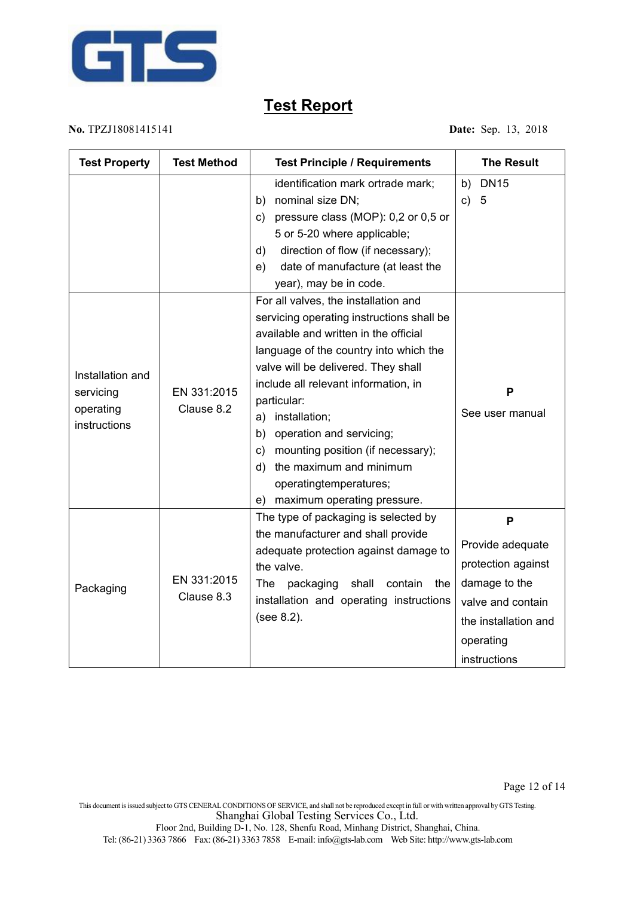

**No.** TPZJ18081415141 **Date:** Sep. 13, 2018

This document isissued subject to GTSCENERALCONDITIONS OF SERVICE, and shall not be reproduced except in full or with written approval by GTSTesting. Shanghai Global Testing Services Co., Ltd.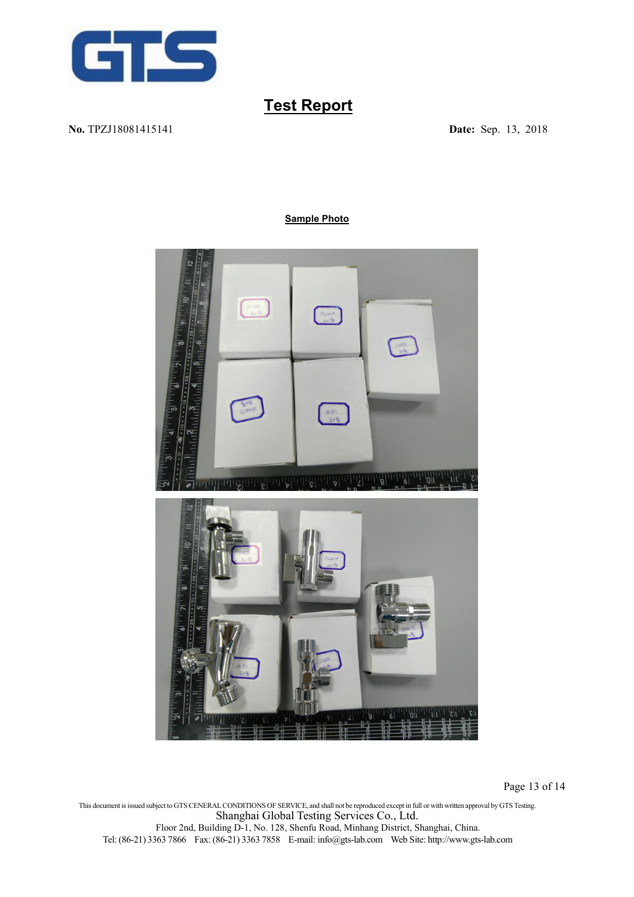

**No.** TPZJ18081415141 **Date:** Sep. 13, 2018

#### **Sample Photo**



Page 13 of 14

This document isissued subject to GTSCENERALCONDITIONS OF SERVICE, and shall not be reproduced except in full or with written approval by GTSTesting. Shanghai Global Testing Services Co., Ltd. Floor 2nd, Building D-1, No. 128, Shenfu Road, Minhang District, Shanghai, China. Tel: (86-21) 3363 7866 Fax: (86-21) 3363 7858 E-mail: [info@gts-lab.com](mailto:info@gts-lab.com) Web Site: http://www.gts-lab.com